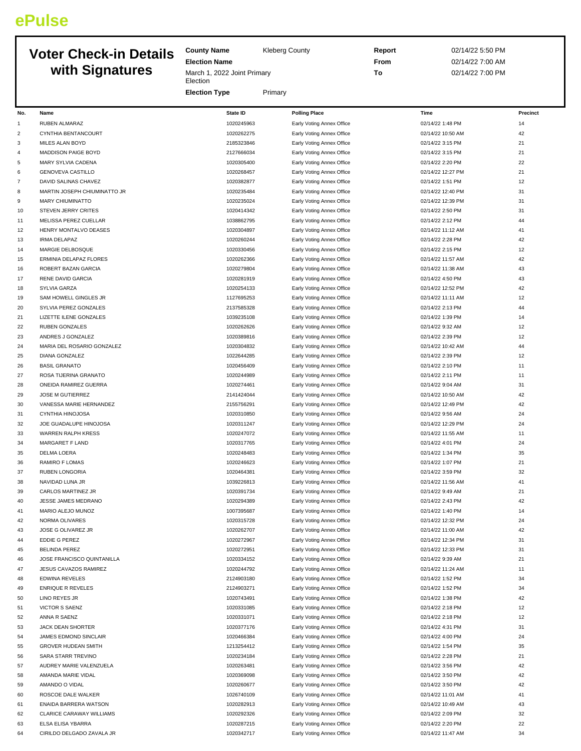## **ePulse**

## **Voter Check-in Details with Signatures**

**County Name** Kleberg County

**Election Name**

**Election** 

March 1, 2022 Joint Primary

**Report** 02/14/22 5:50 PM **From** 02/14/22 7:00 AM **To** 02/14/22 7:00 PM

|              |                                      | <b>Election Type</b>     | Primary                                                |                                       |          |
|--------------|--------------------------------------|--------------------------|--------------------------------------------------------|---------------------------------------|----------|
|              | Name                                 | <b>State ID</b>          |                                                        | Time                                  | Precinct |
| No.          |                                      |                          | <b>Polling Place</b>                                   |                                       |          |
| $\mathbf{1}$ | RUBEN ALMARAZ<br>CYNTHIA BENTANCOURT | 1020245963               | Early Voting Annex Office                              | 02/14/22 1:48 PM                      | 14<br>42 |
| 2<br>3       | <b>MILES ALAN BOYD</b>               | 1020262275<br>2185323846 | Early Voting Annex Office<br>Early Voting Annex Office | 02/14/22 10:50 AM<br>02/14/22 3:15 PM | 21       |
| 4            | <b>MADDISON PAIGE BOYD</b>           | 2127666034               | Early Voting Annex Office                              | 02/14/22 3:15 PM                      | 21       |
| 5            | MARY SYLVIA CADENA                   | 1020305400               | Early Voting Annex Office                              | 02/14/22 2:20 PM                      | 22       |
| 6            | <b>GENOVEVA CASTILLO</b>             | 1020268457               | Early Voting Annex Office                              | 02/14/22 12:27 PM                     | 21       |
| 7            | DAVID SALINAS CHAVEZ                 | 1020382877               | Early Voting Annex Office                              | 02/14/22 1:51 PM                      | 12       |
| 8            | MARTIN JOSEPH CHIUMINATTO JR         | 1020235484               | Early Voting Annex Office                              | 02/14/22 12:40 PM                     | 31       |
| 9            | <b>MARY CHIUMINATTO</b>              | 1020235024               | Early Voting Annex Office                              | 02/14/22 12:39 PM                     | 31       |
| 10           | STEVEN JERRY CRITES                  | 1020414342               | Early Voting Annex Office                              | 02/14/22 2:50 PM                      | 31       |
| 11           | MELISSA PEREZ CUELLAR                | 1038862795               | Early Voting Annex Office                              | 02/14/22 2:12 PM                      | 44       |
| 12           | HENRY MONTALVO DEASES                | 1020304897               | Early Voting Annex Office                              | 02/14/22 11:12 AM                     | 41       |
| 13           | <b>IRMA DELAPAZ</b>                  | 1020260244               | Early Voting Annex Office                              | 02/14/22 2:28 PM                      | 42       |
| 14           | MARGIE DELBOSQUE                     | 1020330456               | Early Voting Annex Office                              | 02/14/22 2:15 PM                      | 12       |
| 15           | ERMINIA DELAPAZ FLORES               | 1020262366               | Early Voting Annex Office                              | 02/14/22 11:57 AM                     | 42       |
| 16           | ROBERT BAZAN GARCIA                  | 1020279804               | Early Voting Annex Office                              | 02/14/22 11:38 AM                     | 43       |
| 17           | RENE DAVID GARCIA                    | 1020281919               | Early Voting Annex Office                              | 02/14/22 4:50 PM                      | 43       |
| 18           | SYLVIA GARZA                         | 1020254133               | Early Voting Annex Office                              | 02/14/22 12:52 PM                     | 42       |
| 19           | SAM HOWELL GINGLES JR                | 1127695253               | Early Voting Annex Office                              | 02/14/22 11:11 AM                     | 12       |
| 20           | SYLVIA PEREZ GONZALES                | 2137585328               | Early Voting Annex Office                              | 02/14/22 2:13 PM                      | 44       |
| 21           | LIZETTE ILENE GONZALES               | 1039235108               | Early Voting Annex Office                              | 02/14/22 1:39 PM                      | 14       |
| 22           | RUBEN GONZALES                       | 1020262626               | Early Voting Annex Office                              | 02/14/22 9:32 AM                      | 12       |
| 23           | ANDRES J GONZALEZ                    | 1020389816               | Early Voting Annex Office                              | 02/14/22 2:39 PM                      | 12       |
| 24           | MARIA DEL ROSARIO GONZALEZ           | 1020304832               | Early Voting Annex Office                              | 02/14/22 10:42 AM                     | 44       |
| 25           | DIANA GONZALEZ                       | 1022644285               | Early Voting Annex Office                              | 02/14/22 2:39 PM                      | 12       |
| 26           | <b>BASIL GRANATO</b>                 | 1020456409               | Early Voting Annex Office                              | 02/14/22 2:10 PM                      | $11\,$   |
| 27           | ROSA TIJERINA GRANATO                | 1020244989               | Early Voting Annex Office                              | 02/14/22 2:11 PM                      | 11       |
| 28           | ONEIDA RAMIREZ GUERRA                | 1020274461               | Early Voting Annex Office                              | 02/14/22 9:04 AM                      | 31       |
| 29           | JOSE M GUTIERREZ                     | 2141424044               | Early Voting Annex Office                              | 02/14/22 10:50 AM                     | 42       |
| 30           | VANESSA MARIE HERNANDEZ              | 2155756291               | Early Voting Annex Office                              | 02/14/22 12:49 PM                     | 42       |
| 31           | CYNTHIA HINOJOSA                     | 1020310850               | Early Voting Annex Office                              | 02/14/22 9:56 AM                      | 24       |
| 32           | JOE GUADALUPE HINOJOSA               | 1020311247               | Early Voting Annex Office                              | 02/14/22 12:29 PM                     | 24       |
| 33           | WARREN RALPH KRESS                   | 1020247072               | Early Voting Annex Office                              | 02/14/22 11:55 AM                     | 11       |
| 34           | MARGARET F LAND                      | 1020317765               | Early Voting Annex Office                              | 02/14/22 4:01 PM                      | 24       |
| 35<br>36     | DELMA LOERA                          | 1020248483<br>1020246623 | Early Voting Annex Office                              | 02/14/22 1:34 PM<br>02/14/22 1:07 PM  | 35<br>21 |
| 37           | RAMIRO F LOMAS<br>RUBEN LONGORIA     | 1020464381               | Early Voting Annex Office<br>Early Voting Annex Office | 02/14/22 3:59 PM                      | 32       |
| 38           | NAVIDAD LUNA JR                      | 1039226813               | Early Voting Annex Office                              | 02/14/22 11:56 AM                     | 41       |
| 39           | CARLOS MARTINEZ JR                   | 1020391734               | Early Voting Annex Office                              | 02/14/22 9:49 AM                      | 21       |
| 40           | JESSE JAMES MEDRANO                  | 1020294389               | Early Voting Annex Office                              | 02/14/22 2:43 PM                      | 42       |
| 41           | MARIO ALEJO MUNOZ                    | 1007395687               | Early Voting Annex Office                              | 02/14/22 1:40 PM                      | 14       |
| 42           | NORMA OLIVARES                       | 1020315728               | Early Voting Annex Office                              | 02/14/22 12:32 PM                     | 24       |
| 43           | JOSE G OLIVAREZ JR                   | 1020262707               | Early Voting Annex Office                              | 02/14/22 11:00 AM                     | 42       |
| 44           | <b>EDDIE G PEREZ</b>                 | 1020272967               | Early Voting Annex Office                              | 02/14/22 12:34 PM                     | 31       |
| 45           | <b>BELINDA PEREZ</b>                 | 1020272951               | Early Voting Annex Office                              | 02/14/22 12:33 PM                     | 31       |
| 46           | JOSE FRANCISCO QUINTANILLA           | 1020334152               | Early Voting Annex Office                              | 02/14/22 9:39 AM                      | 21       |
| 47           | JESUS CAVAZOS RAMIREZ                | 1020244792               | Early Voting Annex Office                              | 02/14/22 11:24 AM                     | 11       |
| 48           | <b>EDWINA REVELES</b>                | 2124903180               | Early Voting Annex Office                              | 02/14/22 1:52 PM                      | 34       |
| 49           | <b>ENRIQUE R REVELES</b>             | 2124903271               | Early Voting Annex Office                              | 02/14/22 1:52 PM                      | 34       |
| 50           | LINO REYES JR                        | 1020743491               | Early Voting Annex Office                              | 02/14/22 1:38 PM                      | 42       |
| 51           | <b>VICTOR S SAENZ</b>                | 1020331085               | Early Voting Annex Office                              | 02/14/22 2:18 PM                      | 12       |
| 52           | ANNA R SAENZ                         | 1020331071               | Early Voting Annex Office                              | 02/14/22 2:18 PM                      | 12       |
| 53           | JACK DEAN SHORTER                    | 1020377176               | Early Voting Annex Office                              | 02/14/22 4:31 PM                      | 31       |
| 54           | JAMES EDMOND SINCLAIR                | 1020466384               | Early Voting Annex Office                              | 02/14/22 4:00 PM                      | 24       |
| 55           | GROVER HUDEAN SMITH                  | 1213254412               | Early Voting Annex Office                              | 02/14/22 1:54 PM                      | 35       |
| 56           | SARA STARR TREVINO                   | 1020234184               | Early Voting Annex Office                              | 02/14/22 2:28 PM                      | 21       |
| 57           | AUDREY MARIE VALENZUELA              | 1020263481               | Early Voting Annex Office                              | 02/14/22 3:56 PM                      | 42       |
| 58           | AMANDA MARIE VIDAL                   | 1020369098               | Early Voting Annex Office                              | 02/14/22 3:50 PM                      | 42       |
| 59           | AMANDO O VIDAL                       | 1020260677               | Early Voting Annex Office                              | 02/14/22 3:50 PM                      | 42       |
| 60           | ROSCOE DALE WALKER                   | 1026740109               | Early Voting Annex Office                              | 02/14/22 11:01 AM                     | 41       |
| 61           | ENAIDA BARRERA WATSON                | 1020282913               | Early Voting Annex Office                              | 02/14/22 10:49 AM                     | 43       |
| 62           | CLARICE CARAWAY WILLIAMS             | 1020292326               | Early Voting Annex Office                              | 02/14/22 2:09 PM                      | 32       |
| 63           | ELSA ELISA YBARRA                    | 1020287215               | Early Voting Annex Office                              | 02/14/22 2:20 PM                      | 22       |
| 64           | CIRILDO DELGADO ZAVALA JR            | 1020342717               | Early Voting Annex Office                              | 02/14/22 11:47 AM                     | 34       |